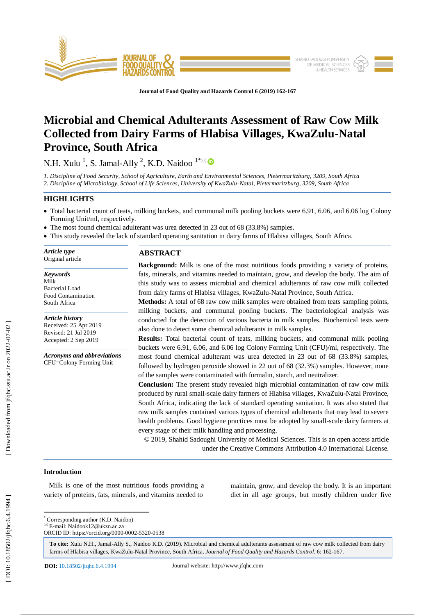

**Journal of Food Quality and Hazards Control 6 (201 9) 162 - 167**

# **Microbial and Chemical Adulterants Assessment of Raw Cow Milk Collected from Dairy Farms of Hlabisa Villages, KwaZulu -Natal Province, South Africa**

N.H. Xulu<sup>1</sup>, S. Jamal-Ally<sup>2</sup>, K.D. Naidoo<sup>1\*</sup>

*1. Discipline of Food Security, School of Agriculture, Earth and Environmental Sciences, Pietermaritzburg, 3209, South Africa 2. Discipline of Microbiology, School of Life Sciences, University of KwaZulu -Natal, Pietermaritzburg, 3209, South Africa*

### **HIGHLIGHTS**

- Total bacterial count of teats, milking buckets , and communal milk pooling buckets were 6.91, 6.06, and 6.06 log Colony Forming Unit/ml, respectively.
- The most found chemical adulterant was urea detected in 23 out of 68 (33.8%) samples.
- This study revealed the lack of standard operating sanitation in dairy farms of Hlabisa villages, South Africa.

*Article type* Original article

#### *Keywords*

Milk Bacterial Load Food Contamination South Africa

# *Article history*

Received: 25 Apr 201 9 Revised: 21 Ju l 201 9 Accepted: 2 Sep 201 9

*Acronyms and abbreviations* CFU=Colony Forming Unit

## **ABSTRACT**

**Background:** Milk is one of the most nutritious foods providing a variety of proteins, fats, minerals, and vitamins needed to maintain, grow, and develop the body. The aim of this study was to assess microbial and chemical adulterants of raw cow milk collected from dairy farms of Hlabisa villages, KwaZulu -Natal Province, South Africa.

**Methods:** A total of 68 raw cow milk samples were obtained from teats sampling points, milking buckets, and communal pooling buckets. The bacteriological analysis was conducted for the detection of various bacteria in milk samples. Biochemical tests were also done to detect some chemical adulterants in milk samples.

**Results:** Total bacterial count of teats, milking buckets, and communal milk pooling buckets were 6.91, 6.06, and 6.06 log Colony Forming Unit (CFU)/ml, respectively. The most found chemical adulterant was urea detected in 23 out of 68 (33.8%) samples, followed by hydrogen peroxide showed in 22 out of 68 (32.3%) samples. However, none of the samples were contaminated with formalin, starch, and neutralizer.

**Conclusion:** The present study revealed high microbial contamination of raw cow milk produced by rural small-scale dairy farmers of Hlabisa villages, KwaZulu-Natal Province, South Africa, indicating the lack of standard operating sanitation. It was also stated that raw milk samples contained various types of chemical adulterants that may lead to severe health problems. Good hygiene practices must be adopted by small -scale dairy farmers at every stage of their milk handling and processing.

© 201 9, Shahid Sadoughi University of Medical Sciences. This is an open access article under the Creative Commons Attribution 4.0 International License.

#### **Introduction**

 Milk is one of the most nutritious foods providing a variety of proteins, fats, minerals, and vitamins needed to

maintain, grow, and develop the body. It is an important diet in all age groups, but mostly children under five

\* Corresponding author (K.D. Naidoo)

 $E$ -mail: Naidook12@ukzn.ac.za ORCID ID: https://orcid.org/0000 -0002 -5320 -0538

**To cite:** Xulu N.H., Jamal -Ally S., Naidoo K.D. (201 9). Microbial and chemical adulterants assessment of raw cow milk collected from dairy farms of Hlabisa villages, KwaZulu-Natal Province, South Africa. Journal of Food Quality and Hazards Control. 6: 162-167.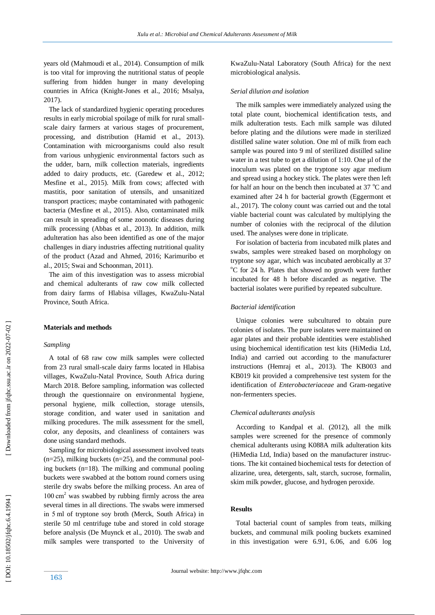years old (Mahmoudi et al., 2014). Consumption of milk is too vital for improving the nutritional status of people suffering from hidden hunger in many developing countries in Africa (Knight -Jones et al., 2016; Msalya, 2017).

 The lack of standardized hygienic operating procedures results in early microbial spoilage of milk for rural small scale dairy farmers at various stages of procurement, processing, and distribution (Hamid et al., 2013). Contamination with microorganisms could also result from various unhygienic environmental factors such as the udder, barn, milk collection materials, ingredients added to dairy products, etc. (Garedew et al., 2012; Mesfine et al., 2015). Milk from cows; affected with mastitis, poor sanitation of utensils, and unsanitized transport practices; maybe contaminated with pathogenic bacteria (Mesfine et al., 2015). Also, contaminated milk can result in spreading of some zoonotic diseases during milk processing (Abbas et al., 2013). In addition, milk adulteration has also been identified as one of the major challenges in diary industries affecting nutritional quality of the product (Azad and Ahmed , 2016; Karimuribo et al., 2015; Swai and Schoonman, 2011).

 The aim of this investigation was to assess microbial and chemical adulterants of raw cow milk collected from dairy farms of Hlabisa villages, KwaZulu -Natal Province, South Africa.

#### **Materials and methods**

#### *Sampling*

 A total of 68 raw cow milk samples were collected from 23 rural small -scale dairy farms located in Hlabisa villages, KwaZulu -Natal Province, South Africa during March 2018. Before sampling, information was collected through the questionnaire on environmental hygiene, personal hygiene, milk collection, storage utensils, storage condition, and water used in sanitation and milking procedures. The milk assessment for the smell, color, any deposits, and cleanliness of containers was done using standard methods.

 Sampling for microbiological assessment involved teats (n=25), milking buckets (n=25), and the communal pooling buckets (n=18). The milking and communal pooling buckets were swabbed at the bottom round corners using sterile dry swabs before the milking process. An area of 100 cm <sup>2</sup> was swabbed by rubbing firmly across the area several times in all directions. The swabs were immersed in 5 ml of tryptone soy broth (Merck, South Africa) in sterile 50 ml centrifuge tube and stored in cold storage before analysis (De Muynck et al., 2010). The swab and milk samples were transported to the University of KwaZulu -Natal Laboratory (South Africa) for the next microbiological analysis.

#### *Serial dilution and isolation*

 The milk samples were immediately analyzed using the total plate count, biochemical identification tests, and milk adulteration tests. Each milk sample was diluted before plating and the dilutions were made in sterilized distilled saline water solution. One ml of milk from each sample was poured into 9 ml of sterilized distilled saline water in a test tube to get a dilution of  $1:10$ . One ul of the inoculum was plated on the tryptone soy agar medium and spread using a hockey stick. The plates were then left for half an hour on the bench then incubated at 37  $\mathrm{^oC}$  and examined after 24 h for bacterial growth (Eggermont et al., 2017). The colony count was carried out and the total viable bacterial count was calculated by multiplying the number of colonies with the reciprocal of the dilution used. The analyses were done in triplicate.

 For isolation of bacteria from incubated milk plates and swabs, samples were streaked based on morphology on tryptone soy agar, which was incubated aerobically at 37  $\rm{^{\circ}C}$  for 24 h. Plates that showed no growth were further incubated for 48 h before discarded as negative. The bacterial isolates were purified by repeated subculture.

#### *Bacterial identification*

 Unique colonies were subcultured to obtain pure colonies of isolates. The pure isolates were maintained on agar plates and their probable identities were established using biochemical identification test kits (HiMedia Ltd, India) and carried out according to the manufacturer instructions (Hemraj et al., 2013). The KB003 and KB019 kit provided a comprehensive test system for the identification of *Enterobacteriaceae* and Gram -negative non -fermenters species.

#### *Chemical adulterants analysis*

 According to Kandpal et al. (2012), all the milk samples were screened for the presence of commonly chemical adulterants using K088A milk adulteration kits (HiMedia Ltd, India) based on the manufacturer instructions. The kit contained biochemical tests for detection of alizarine, urea, detergents, salt, starch, sucrose, formalin, skim milk powder, glucose, and hydrogen peroxide.

#### **Results**

Total bacterial count of samples from teats, milking buckets, and communal milk pooling buckets examined in this investigation were 6.91, 6.06, and 6.06 log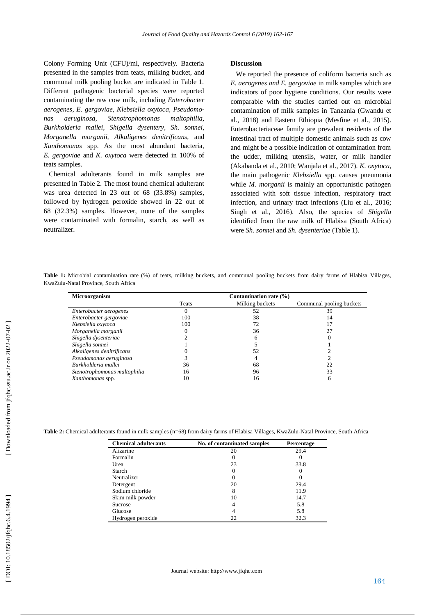Colony Forming Unit (CFU)/ml, respectively. Bacteria presented in the samples from teats, milking bucket, and communal milk pooling bucket are indicated in Table 1. Different pathogenic bacterial species were reported contaminating the raw cow milk, including *Enterobacter aerogenes, E . gergoviae, Klebsiella oxytoca, Pseudomonas aeruginosa, Stenotrophomonas maltophilia, Burkholderia mallei, Shigella dysentery, Sh . sonnei, Morganella morganii, Alkaligenes denitrificans,* and *Xanthomonas* spp. As the most abundant bacteria, *E. gergoviae* and *K. oxytoca* were detected in 100% of teats samples.

 Chemical adulterants found in milk samples are presented in Table 2. The most found chemical adulterant was urea detected in 23 out of 68 (33.8%) samples, followed by hydrogen peroxide showed in 22 out of 68 (32.3%) samples. However, none of the samples were contaminated with formalin, starch, as well as neutralizer.

#### **Discussion**

 We reported the presence of coliform bacteria such as *E. aerogenes and E. gergoviae* in milk samples which are indicators of poor hygiene conditions. Our results were comparable with the studies carried out on microbial contamination of milk samples in Tanzania (Gwandu et al., 2018) and Eastern Ethiopia (Mesfine et al., 2015). Enterobacteriaceae family are prevalent residents of the intestinal tract of multiple domestic animals such as cow and might be a possible indication of contamination from the udder, milking utensils, water, or milk handler (Akabanda et al., 2010; Wanjala et al., 2017) *. K. oxytoca*, the main pathogenic *Klebsiella* spp. causes pneumonia while *M. morganii* is mainly an opportunistic pathogen associated with soft tissue infection, respiratory tract infection, and urinary tract infections (Liu et al., 2016; Singh et al., 2016). Also, the species of *Shigella* identified from the raw milk of Hlabisa (South Africa) were *Sh. sonnei* and *Sh. dysenteriae* (Table 1).

Table 1: Microbial contamination rate (%) of teats, milking buckets, and communal pooling buckets from dairy farms of Hlabisa Villages, KwaZulu -Natal Province, South Africa

| <b>Microorganism</b>         | Contamination rate $(\% )$ |                 |                          |
|------------------------------|----------------------------|-----------------|--------------------------|
|                              | Teats                      | Milking buckets | Communal pooling buckets |
| Enterobacter aerogenes       | 0                          | 52              | 39                       |
| Enterobacter gergoviae       | 100                        | 38              | 14                       |
| Klebsiella oxytoca           | 100                        | 72              |                          |
| Morganella morganii          |                            | 36              |                          |
| Shigella dysenteriae         |                            |                 |                          |
| Shigella sonnei              |                            |                 |                          |
| Alkaligenes denitrificans    |                            | 52              |                          |
| Pseudomonas aeruginosa       |                            |                 |                          |
| Burkholderia mallei          | 36                         | 68              | 22                       |
| Stenotrophomonas maltophilia | 16                         | 96              | 33                       |
| Xanthomonas spp.             | 10                         | 16              |                          |

Table 2: Chemical adulterants found in milk samples (n=68) from dairy farms of Hlabisa Villages, KwaZulu-Natal Province, South Africa

| <b>Chemical adulterants</b> | No. of contaminated samples | Percentage   |
|-----------------------------|-----------------------------|--------------|
| Alizarine                   | 20                          | 29.4         |
| Formalin                    |                             |              |
| Urea                        | 23                          | 33.8         |
| Starch                      |                             | $\mathbf{0}$ |
| Neutralizer                 |                             | $\mathbf{0}$ |
| Detergent                   | 20                          | 29.4         |
| Sodium chloride             | 8                           | 11.9         |
| Skim milk powder            | 10                          | 14.7         |
| Sucrose                     |                             | 5.8          |
| Glucose                     |                             | 5.8          |
| Hydrogen peroxide           | 22                          | 32.3         |

[Downloaded from jfqhc.ssu.ac.ir on 2022-07-02]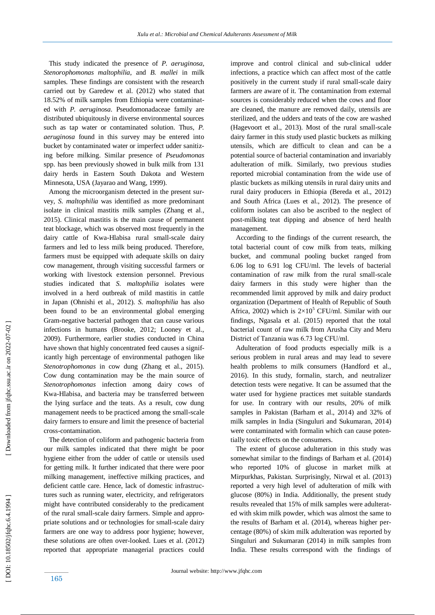This study indicated the presence of *P. aeruginosa, Stenorophomonas maltophilia* , and *B. mallei* in mil k samples*.* These findings are consistent with the research carried out by Garedew et al. (2012) who stated that 18.52% of milk samples from Ethiopia were contaminated with *P. aeruginosa.* Pseudomonadaceae family are distributed ubiquitously in diverse environmental sources such as tap water or contaminated solution. Thus, *P. aeruginosa* found in this survey may be entered into bucket by contaminated water or imperfect udder sanitizing before milking. Similar presence of *Pseudomonas*  spp. has been previously showed in bulk milk from 131 dairy herds in Eastern South Dakota and Western Minnesota, USA (Jayarao and Wang, 1999).

 Among the microorganism detected in the present survey, *S. maltophilia* was identified as more predominant isolate in clinical mastitis milk samples (Zhang et al., 2015). Clinical mastitis is the main cause of permanent teat blockage, which was observed most frequently in the dairy cattle of Kwa -Hlabisa rural small -scale dairy farmers and led to less milk being produced. Therefore, farmers must be equipped with adequate skills on dairy cow management, through visiting successful farmers or working with livestock extension personnel. Previous studies indicated that *S. maltophilia* isolates were involved in a herd outbreak of mild mastitis in cattle in Japan (Ohnishi et al., 2012). *S. maltophilia* has also been found to be an environmental global emerging Gram -negative bacterial pathogen that can cause various infections in humans (Brooke, 2012; Looney et al., 2009). Furthermore, earlier studies conducted in China have shown that highly concentrated feed causes a significantly high percentage of environmental pathogen like *Stenotrophomonas* in cow dung (Zhang et al., 2015). Cow dung contamination may be the main source of *Stenotrophomonas* infection among dairy cows of Kwa -Hlabisa , and bacteria may be transferred between the lying surface and the teats. As a result, cow dung management needs to be practiced among the small -scale dairy farmers to ensure and limit the presence of bacterial cross -contamination.

 The detection of coliform and pathogenic bacteria from our milk samples indicated that there might be poor hygiene either from the udder of cattle or utensils used for getting milk. It further indicated that there were poor milking management, ineffective milking practices, and deficient cattle care. Hence, lack of domestic infrastructures such as running water, electricity, and refrigerators might have contributed considerably to the predicament of the rural small -scale dairy farmers. Simple and appropriate solutions and or technologies for small-scale dairy farmers are one way to address poor hygiene; however, these solutions are often over -looked. Lues et al. (2012) reported that appropriate managerial practices could

improve and control clinical and sub -clinical udder infections, a practice which can affect most of the cattle positively in the current study if rural small -scale dairy farmers are aware of it. The contamination from external sources is considerably reduced when the cows and floor are cleaned, the manure are removed daily, utensils are sterilized, and the udders and teats of the cow are washed (Hagevoort et al., 2013). Most of the rural small -scale dairy farmer in this study used plastic buckets as milking utensils, which are difficult to clean and can be a potential source of bacterial contamination and invariably adulteration of milk. Similarly, two previous studies reported microbial contamination from the wide use of plastic buckets as milking utensils in rural dairy units and rural dairy producers in Ethiopia (Bereda et al., 2012) and South Africa (Lues et al., 2012). The presence of coliform isolates can also be ascribed to the neglect of post -milking teat dipping and absence of herd health management.

 According to the findings of the current research, the total bacterial count of cow milk from teats, milking bucket, and communal pooling bucket ranged from 6.06 log to 6.91 log CFU/ml. The levels of bacterial contamination of raw milk from the rural small -scale dairy farmers in this study were higher than the recommended limit approved by milk and dairy product organization (Department of Health of Republic of South Africa, 2002) which is  $2\times10^5$  CFU/ml. Similar with our findings, Ngasala et al. (2015) reported that the total bacterial count of raw milk from Arusha City and Meru District of Tanzania was 6.73 log CFU/ml.

 Adulteration of food products especially milk is a serious problem in rural areas and may lead to severe health problems to milk consumers (Handford et al., 2016). In this study, formalin, starch, and neutralizer detection tests were negative. It can be assumed that the water used for hygiene practices met suitable standards for use. In contrary with our results, 20% of milk samples in Pakistan (Barham et al., 2014) and 32% of milk samples in India (Singuluri and Sukumaran, 2014) were contaminated with formalin which can cause potentially toxic effects on the consumers.

 The extent of glucose adulteration in this study was somewhat similar to the findings of Barham et al. (2014) who reported 10% of glucose in market milk at Mirpurkhas, Pakistan. Surprisingly, Nirwal et al. (2013) reported a very high level of adulteration of milk with glucose (80%) in India. Additionally, the present study results revealed that 15% of milk samples were adulterated with skim milk powder, which was almost the same to the results of Barham et al. (2014), whereas higher percentage (80%) of skim milk adulteration was reported by Singuluri and Sukumaran (2014) in milk samples from India. These results correspond with the findings of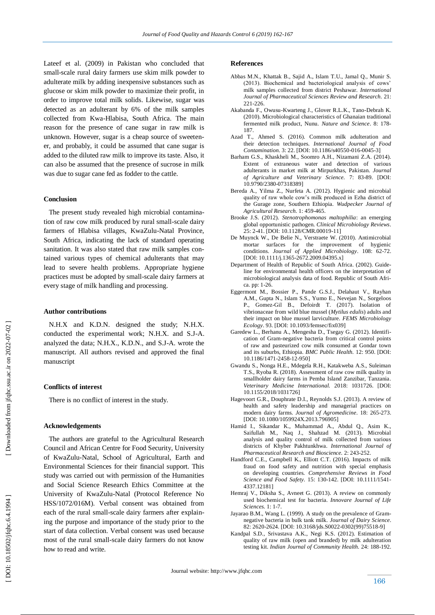Lateef et al. (2009) in Pakistan who concluded that small -scale rural dairy farmers use skim milk powder to adulterate milk by adding inexpensive substances such as glucose or skim milk powder to maximize their profit, in order to improve total milk solids. Likewise, sugar was detected as an adulterant by 6% of the milk samples collected from Kwa -Hlabisa, South Africa. The main reason for the presence of cane sugar in raw milk is unknown. However, sugar is a cheap source of sweetener, and probably, it could be assumed that cane sugar is added to the diluted raw milk to improve its taste. Also, it can also be assumed that the presence of sucrose in milk was due to sugar cane fed as fodder to the cattle.

#### **Conclusion**

 The present study revealed high microbial contamination of raw cow milk produced by rural small-scale dairy farmers of Hlabisa villages, KwaZulu -Natal Province, South Africa, indicating the lack of standard operating sanitation. It was also stated that raw milk samples contained various types of chemical adulterants that may lead to severe health problems. Appropriate hygiene practices must be adopted by small -scale dairy farmers at every stage of milk handling and processing.

#### **Author contributions**

 N.H.X and K.D.N. designed the study; N.H.X. conducted the experimental work; N.H.X. and S.J -A. analyzed the data; N.H.X., K.D.N., and S.J -A. wrote the manuscript. All authors revised and approved the final manuscript

#### **Conflicts of interest**

There is no conflict of interest in the study.

#### **Acknowledgements**

 The authors are grateful to the Agricultural Research Council and African Centre for Food Security, University of KwaZulu -Natal, School of Agricultural, Earth and Environmental Sciences for their financial support. This study was carried out with permission of the Humanities and Social Science Research Ethics Committee at the University of KwaZulu -Natal (Protocol Reference No HSS/1072/016M). Verbal consent was obtained from each of the rural small -scale dairy farmers after explaining the purpose and importance of the study prior to the start of data collection. Verbal consent was used because most of the rural small -scale dairy farmers do not know how to read and write.

#### **Reference s**

- Abbas M.N., Khattak B., Sajid A., Islam T.U., Jamal Q., Munir S. (2013). Biochemical and bacteriological analysis of cows' milk samples collected from district Peshawar. *International Journal of Pharmaceutical Sciences Review and Research.* 21: 221 -226.
- Akabanda F., Owusu -Kwarteng J., Glover R.L.K., Tano -Debrah K. (2010). Microbiological characteristics of Ghanaian traditional fermented milk product, Nunu. *Nature and Science*. 8: 178 - 187.
- Azad T., Ahmed S. (2016). Common milk adulteration and their detection techniques. *International Journal of Food*  Contamination. 3: 22. [DOI: 10.1186/s40550-016-0045-3]
- Barham G.S., Khaskheli M., Soomro A.H., Nizamani Z.A. (2014). Extent of extraneous water and detection of various adulterants in market milk at Mirpurkhas, Pakistan. *Journal of Agriculture and Veterinary Science.* 7: 83 -89. [DOI: 10.9790/2380 -07318389]
- Bereda A., Yilma Z., Nurfeta A. (2012). Hygienic and microbial quality of raw whole cow's milk produced in Ezha district of the Gurage zone, Southern Ethiopia. *Wudpecker Journal of Agricultural Research.* 1: 459 -465.
- Brooke J.S. (2012). *Stenotrophomonas maltophilia*: an emerging global opportunistic pathogen. *Clinical Microbiology Reviews*. 25: 2 -41. [DOI: 10.1128/CMR.00019 -11]
- De Muynck W., De Belie N., Verstraete W. (2010). Antimicrobial mortar surfaces for the improvement of hygienic conditions. *Journal of Applied Microbiology*. 108: 62 -72. [DOI: 10.1111/j.1365-2672.2009.04395.x]
- Department of Health of Republic of South Africa. (2002). Guideline for environmental health officers on the interpretation of microbiological analysis data of food. Republic of South Africa. pp: 1-26.
- Eggermont M., Bossier P., Pande G.S.J., Delahaut V., Rayhan A.M., Gupta N., Islam S.S., Yumo E., Nevejan N., Sorgeloos P., Gomez -Gil B., Defoirdt T. (2017). Isolation of vibrionaceae from wild blue mussel (*Mytilus edulis*) adults and their impact on blue mussel larviculture. *FEMS Microbiology Ecology*. 93. [DOI: 10.1093/femsec/fix039]
- Garedew L., Berhanu A., Mengesha D., Tsegay G. (2012). Identification of Gram-negative bacteria from critical control points of raw and pasteurized cow milk consumed at Gondar town and its suburbs, Ethiopia. BMC Public Health. 12: 950. [DOI: 10.1186/1471 -2458 -12 -950]
- Gwandu S., Nonga H.E., Mdegela R.H., Katakweba A.S., Suleiman T.S., Ryoba R. (2018). Assessment of raw cow milk quality in smallholder dairy farms in Pemba Island Zanzibar, Tanzania. *Veterinary Medicine International.* 2018: 1031726 . [DOI: 10.1155/2018/1031726]
- Hagevoort G.R., Douphrate D.I., Reynolds S.J. (2013). A review of health and safety leadership and managerial practices on modern dairy farms. *Journal of Agromedicine*. 18: 265 -273. [DOI: 10.1080/1059924X.2013.796905]
- Hamid I., Sikandar K., Muhammad A., Abdul Q., Asim K., Saifullah M., Naq J., Shahzad M. (2013). Microbial analysis and quality control of milk collected from various districts of Khyber Pakhtunkhwa. *International Journal of*  Pharmaceutical Research and Bioscience. 2: 243-252.
- Handford C.E., Campbell K., Elliott C.T. (2016). Impacts of milk fraud on food safety and nutrition with special emphasis on developing countries. *Comprehensive Reviews in Food*  Science and Food Safety. 15: 130-142. [DOI: 10.1111/1541-4337.12181]
- Hemraj V., Diksha S., Avneet G. (2013). A review on commonly used biochemical test for bacteria. *Innovare Journal of Life Sciences.* 1: 1 -7.
- Jayarao B.M., Wang L. (1999). A study on the prevalence of Gramnegative bacteria in bulk tank milk. *Journal of Dairy Science*. 82: 2620 -2624. [DOI: 10.3168/jds.S0022 -0302(99)75518 -9]
- Kandpal S.D., Srivastava A.K., Negi K.S. (2012). Estimation of quality of raw milk (open and branded) by milk adulteration testing kit. Indian Journal of Community Health. 24: 188-192.